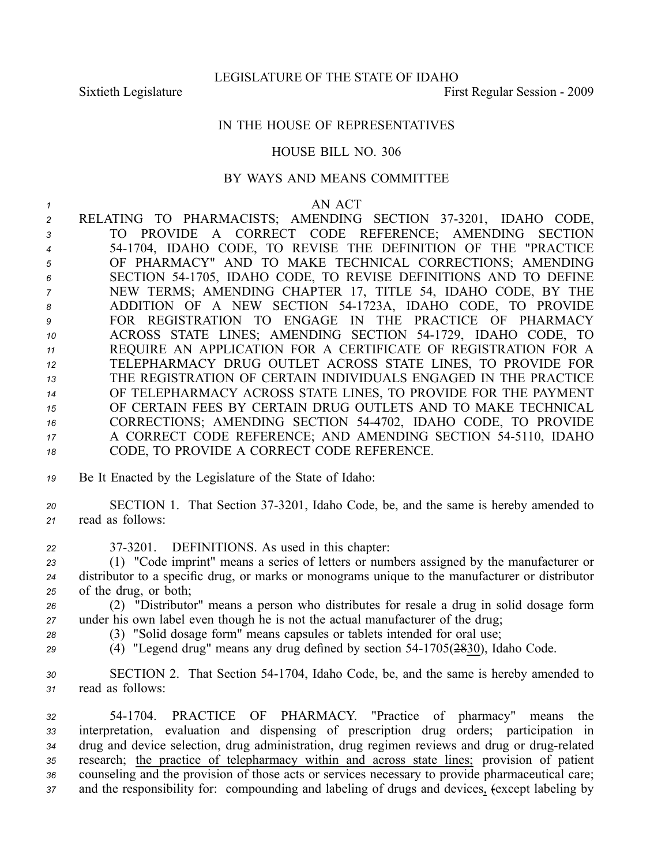## IN THE HOUSE OF REPRESENTATIVES

### HOUSE BILL NO. 306

### BY WAYS AND MEANS COMMITTEE

#### *<sup>1</sup>* AN ACT

 RELATING TO PHARMACISTS; AMENDING SECTION 373201, IDAHO CODE, TO PROVIDE A CORRECT CODE REFERENCE; AMENDING SECTION 541704, IDAHO CODE, TO REVISE THE DEFINITION OF THE "PRACTICE OF PHARMACY" AND TO MAKE TECHNICAL CORRECTIONS; AMENDING SECTION 541705, IDAHO CODE, TO REVISE DEFINITIONS AND TO DEFINE NEW TERMS; AMENDING CHAPTER 17, TITLE 54, IDAHO CODE, BY THE ADDITION OF A NEW SECTION 541723A, IDAHO CODE, TO PROVIDE FOR REGISTRATION TO ENGAGE IN THE PRACTICE OF PHARMACY ACROSS STATE LINES; AMENDING SECTION 541729, IDAHO CODE, TO REQUIRE AN APPLICATION FOR A CERTIFICATE OF REGISTRATION FOR A TELEPHARMACY DRUG OUTLET ACROSS STATE LINES, TO PROVIDE FOR THE REGISTRATION OF CERTAIN INDIVIDUALS ENGAGED IN THE PRACTICE OF TELEPHARMACY ACROSS STATE LINES, TO PROVIDE FOR THE PAYMENT OF CERTAIN FEES BY CERTAIN DRUG OUTLETS AND TO MAKE TECHNICAL CORRECTIONS; AMENDING SECTION 544702, IDAHO CODE, TO PROVIDE A CORRECT CODE REFERENCE; AND AMENDING SECTION 545110, IDAHO CODE, TO PROVIDE A CORRECT CODE REFERENCE.

- *<sup>19</sup>* Be It Enacted by the Legislature of the State of Idaho:
- 20 SECTION 1. That Section 37-3201, Idaho Code, be, and the same is hereby amended to *<sup>21</sup>* read as follows:
- *<sup>22</sup>* 373201. DEFINITIONS. As used in this chapter:
- *<sup>23</sup>* (1) "Code imprint" means <sup>a</sup> series of letters or numbers assigned by the manufacturer or *<sup>24</sup>* distributor to <sup>a</sup> specific drug, or marks or monograms unique to the manufacturer or distributor *<sup>25</sup>* of the drug, or both;
- *<sup>26</sup>* (2) "Distributor" means <sup>a</sup> person who distributes for resale <sup>a</sup> drug in solid dosage form *<sup>27</sup>* under his own label even though he is not the actual manufacturer of the drug;
- *<sup>28</sup>* (3) "Solid dosage form" means capsules or tablets intended for oral use;
- 
- *<sup>29</sup>* (4) "Legend drug" means any drug defined by section 541705(2830), Idaho Code.
- *<sup>30</sup>* SECTION 2. That Section 541704, Idaho Code, be, and the same is hereby amended to *<sup>31</sup>* read as follows:
- *<sup>32</sup>* 541704. PRACTICE OF PHARMACY. "Practice of pharmacy" means the *<sup>33</sup>* interpretation, evaluation and dispensing of prescription drug orders; participation in 34 drug and device selection, drug administration, drug regimen reviews and drug or drug-related *<sup>35</sup>* research; the practice of telepharmacy within and across state lines; provision of patient *<sup>36</sup>* counseling and the provision of those acts or services necessary to provide pharmaceutical care; *<sup>37</sup>* and the responsibility for: compounding and labeling of drugs and devices, (except labeling by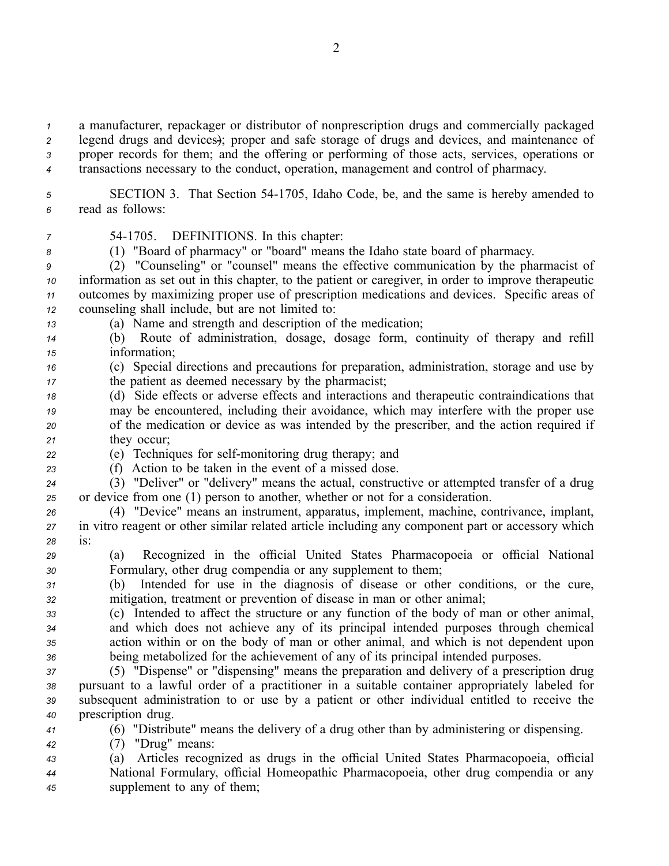<sup>a</sup> manufacturer, repackager or distributor of nonprescription drugs and commercially packaged legend drugs and devices); proper and safe storage of drugs and devices, and maintenance of proper records for them; and the offering or performing of those acts, services, operations or transactions necessary to the conduct, operation, managemen<sup>t</sup> and control of pharmacy.

*<sup>5</sup>* SECTION 3. That Section 541705, Idaho Code, be, and the same is hereby amended to *<sup>6</sup>* read as follows:

*<sup>7</sup>* 541705. DEFINITIONS. In this chapter:

*<sup>8</sup>* (1) "Board of pharmacy" or "board" means the Idaho state board of pharmacy.

 (2) "Counseling" or "counsel" means the effective communication by the pharmacist of information as set out in this chapter, to the patient or caregiver, in order to improve therapeutic outcomes by maximizing proper use of prescription medications and devices. Specific areas of counseling shall include, but are not limited to:

*<sup>13</sup>* (a) Name and strength and description of the medication;

*<sup>14</sup>* (b) Route of administration, dosage, dosage form, continuity of therapy and refill *<sup>15</sup>* information;

*<sup>16</sup>* (c) Special directions and precautions for preparation, administration, storage and use by *<sup>17</sup>* the patient as deemed necessary by the pharmacist;

 (d) Side effects or adverse effects and interactions and therapeutic contraindications that may be encountered, including their avoidance, which may interfere with the proper use of the medication or device as was intended by the prescriber, and the action required if they occur;

*22* (e) Techniques for self-monitoring drug therapy; and

*<sup>23</sup>* (f) Action to be taken in the event of <sup>a</sup> missed dose.

*<sup>24</sup>* (3) "Deliver" or "delivery" means the actual, constructive or attempted transfer of <sup>a</sup> drug *<sup>25</sup>* or device from one (1) person to another, whether or not for <sup>a</sup> consideration.

*<sup>26</sup>* (4) "Device" means an instrument, apparatus, implement, machine, contrivance, implant, *<sup>27</sup>* in vitro reagen<sup>t</sup> or other similar related article including any componen<sup>t</sup> par<sup>t</sup> or accessory which *<sup>28</sup>* is:

*<sup>29</sup>* (a) Recognized in the official United States Pharmacopoeia or official National *<sup>30</sup>* Formulary, other drug compendia or any supplement to them;

*<sup>31</sup>* (b) Intended for use in the diagnosis of disease or other conditions, or the cure, *<sup>32</sup>* mitigation, treatment or prevention of disease in man or other animal;

 (c) Intended to affect the structure or any function of the body of man or other animal, and which does not achieve any of its principal intended purposes through chemical action within or on the body of man or other animal, and which is not dependent upon being metabolized for the achievement of any of its principal intended purposes.

 (5) "Dispense" or "dispensing" means the preparation and delivery of <sup>a</sup> prescription drug pursuan<sup>t</sup> to <sup>a</sup> lawful order of <sup>a</sup> practitioner in <sup>a</sup> suitable container appropriately labeled for subsequent administration to or use by <sup>a</sup> patient or other individual entitled to receive the prescription drug.

*<sup>41</sup>* (6) "Distribute" means the delivery of <sup>a</sup> drug other than by administering or dispensing.

*<sup>42</sup>* (7) "Drug" means:

*<sup>43</sup>* (a) Articles recognized as drugs in the official United States Pharmacopoeia, official *<sup>44</sup>* National Formulary, official Homeopathic Pharmacopoeia, other drug compendia or any *<sup>45</sup>* supplement to any of them;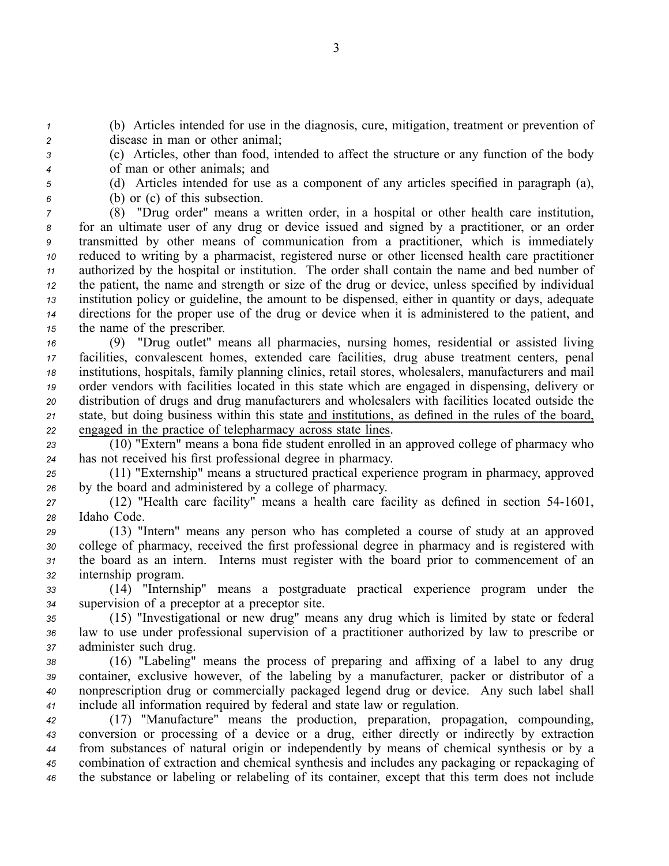*<sup>1</sup>* (b) Articles intended for use in the diagnosis, cure, mitigation, treatment or prevention of *<sup>2</sup>* disease in man or other animal;

*<sup>3</sup>* (c) Articles, other than food, intended to affect the structure or any function of the body *<sup>4</sup>* of man or other animals; and

*<sup>5</sup>* (d) Articles intended for use as <sup>a</sup> componen<sup>t</sup> of any articles specified in paragraph (a), *<sup>6</sup>* (b) or (c) of this subsection.

 (8) "Drug order" means <sup>a</sup> written order, in <sup>a</sup> hospital or other health care institution, for an ultimate user of any drug or device issued and signed by <sup>a</sup> practitioner, or an order transmitted by other means of communication from <sup>a</sup> practitioner, which is immediately reduced to writing by <sup>a</sup> pharmacist, registered nurse or other licensed health care practitioner authorized by the hospital or institution. The order shall contain the name and bed number of the patient, the name and strength or size of the drug or device, unless specified by individual institution policy or guideline, the amount to be dispensed, either in quantity or days, adequate directions for the proper use of the drug or device when it is administered to the patient, and the name of the prescriber.

 (9) "Drug outlet" means all pharmacies, nursing homes, residential or assisted living facilities, convalescent homes, extended care facilities, drug abuse treatment centers, penal institutions, hospitals, family planning clinics, retail stores, wholesalers, manufacturers and mail order vendors with facilities located in this state which are engaged in dispensing, delivery or distribution of drugs and drug manufacturers and wholesalers with facilities located outside the state, but doing business within this state and institutions, as defined in the rules of the board, engaged in the practice of telepharmacy across state lines.

*<sup>23</sup>* (10) "Extern" means <sup>a</sup> bona fide student enrolled in an approved college of pharmacy who *<sup>24</sup>* has not received his first professional degree in pharmacy.

*<sup>25</sup>* (11) "Externship" means <sup>a</sup> structured practical experience program in pharmacy, approved *<sup>26</sup>* by the board and administered by <sup>a</sup> college of pharmacy.

*<sup>27</sup>* (12) "Health care facility" means <sup>a</sup> health care facility as defined in section 541601, *<sup>28</sup>* Idaho Code.

 (13) "Intern" means any person who has completed <sup>a</sup> course of study at an approved college of pharmacy, received the first professional degree in pharmacy and is registered with the board as an intern. Interns must register with the board prior to commencement of an internship program.

*<sup>33</sup>* (14) "Internship" means <sup>a</sup> postgraduate practical experience program under the *<sup>34</sup>* supervision of <sup>a</sup> preceptor at <sup>a</sup> preceptor site.

*<sup>35</sup>* (15) "Investigational or new drug" means any drug which is limited by state or federal *<sup>36</sup>* law to use under professional supervision of <sup>a</sup> practitioner authorized by law to prescribe or *<sup>37</sup>* administer such drug.

 (16) "Labeling" means the process of preparing and affixing of <sup>a</sup> label to any drug container, exclusive however, of the labeling by <sup>a</sup> manufacturer, packer or distributor of <sup>a</sup> nonprescription drug or commercially packaged legend drug or device. Any such label shall include all information required by federal and state law or regulation.

 (17) "Manufacture" means the production, preparation, propagation, compounding, conversion or processing of <sup>a</sup> device or <sup>a</sup> drug, either directly or indirectly by extraction from substances of natural origin or independently by means of chemical synthesis or by <sup>a</sup> combination of extraction and chemical synthesis and includes any packaging or repackaging of the substance or labeling or relabeling of its container, excep<sup>t</sup> that this term does not include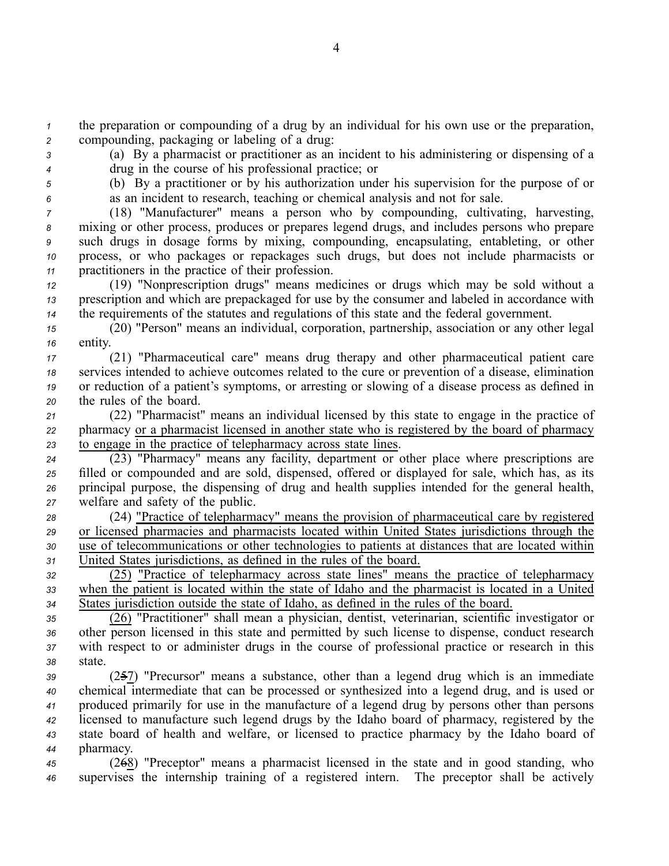*<sup>1</sup>* the preparation or compounding of <sup>a</sup> drug by an individual for his own use or the preparation, *<sup>2</sup>* compounding, packaging or labeling of <sup>a</sup> drug:

*<sup>3</sup>* (a) By <sup>a</sup> pharmacist or practitioner as an incident to his administering or dispensing of <sup>a</sup> *<sup>4</sup>* drug in the course of his professional practice; or

*<sup>5</sup>* (b) By <sup>a</sup> practitioner or by his authorization under his supervision for the purpose of or *<sup>6</sup>* as an incident to research, teaching or chemical analysis and not for sale.

 (18) "Manufacturer" means <sup>a</sup> person who by compounding, cultivating, harvesting, mixing or other process, produces or prepares legend drugs, and includes persons who prepare such drugs in dosage forms by mixing, compounding, encapsulating, entableting, or other process, or who packages or repackages such drugs, but does not include pharmacists or practitioners in the practice of their profession.

*<sup>12</sup>* (19) "Nonprescription drugs" means medicines or drugs which may be sold without <sup>a</sup> *<sup>13</sup>* prescription and which are prepackaged for use by the consumer and labeled in accordance with *<sup>14</sup>* the requirements of the statutes and regulations of this state and the federal government.

*<sup>15</sup>* (20) "Person" means an individual, corporation, partnership, association or any other legal *<sup>16</sup>* entity.

 (21) "Pharmaceutical care" means drug therapy and other pharmaceutical patient care services intended to achieve outcomes related to the cure or prevention of <sup>a</sup> disease, elimination or reduction of <sup>a</sup> patient's symptoms, or arresting or slowing of <sup>a</sup> disease process as defined in the rules of the board.

*<sup>21</sup>* (22) "Pharmacist" means an individual licensed by this state to engage in the practice of *<sup>22</sup>* pharmacy or <sup>a</sup> pharmacist licensed in another state who is registered by the board of pharmacy *<sup>23</sup>* to engage in the practice of telepharmacy across state lines.

 (23) "Pharmacy" means any facility, department or other place where prescriptions are filled or compounded and are sold, dispensed, offered or displayed for sale, which has, as its principal purpose, the dispensing of drug and health supplies intended for the general health, welfare and safety of the public.

 (24) "Practice of telepharmacy" means the provision of pharmaceutical care by registered or licensed pharmacies and pharmacists located within United States jurisdictions through the use of telecommunications or other technologies to patients at distances that are located within United States jurisdictions, as defined in the rules of the board.

*<sup>32</sup>* (25) "Practice of telepharmacy across state lines" means the practice of telepharmacy *<sup>33</sup>* when the patient is located within the state of Idaho and the pharmacist is located in <sup>a</sup> United *<sup>34</sup>* States jurisdiction outside the state of Idaho, as defined in the rules of the board.

 (26) "Practitioner" shall mean <sup>a</sup> physician, dentist, veterinarian, scientific investigator or other person licensed in this state and permitted by such license to dispense, conduct research with respec<sup>t</sup> to or administer drugs in the course of professional practice or research in this *38* state.

 (257) "Precursor" means <sup>a</sup> substance, other than <sup>a</sup> legend drug which is an immediate chemical intermediate that can be processed or synthesized into <sup>a</sup> legend drug, and is used or produced primarily for use in the manufacture of <sup>a</sup> legend drug by persons other than persons licensed to manufacture such legend drugs by the Idaho board of pharmacy, registered by the state board of health and welfare, or licensed to practice pharmacy by the Idaho board of pharmacy.

*<sup>45</sup>* (268) "Preceptor" means <sup>a</sup> pharmacist licensed in the state and in good standing, who *<sup>46</sup>* supervises the internship training of <sup>a</sup> registered intern. The preceptor shall be actively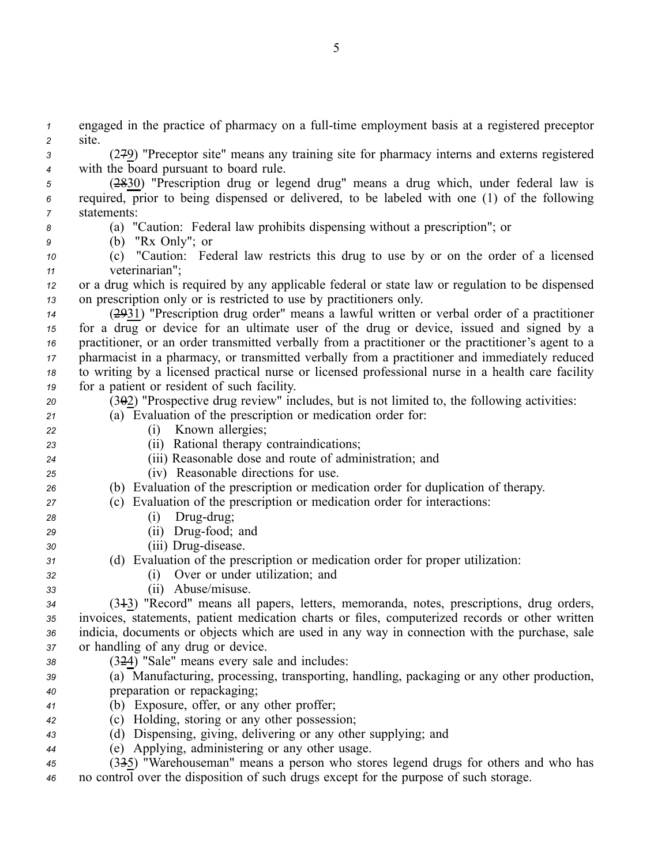*1* engaged in the practice of pharmacy on a full-time employment basis at a registered preceptor *<sup>2</sup>* site.

*<sup>3</sup>* (279) "Preceptor site" means any training site for pharmacy interns and externs registered *<sup>4</sup>* with the board pursuan<sup>t</sup> to board rule.

*<sup>5</sup>* (2830) "Prescription drug or legend drug" means <sup>a</sup> drug which, under federal law is *<sup>6</sup>* required, prior to being dispensed or delivered, to be labeled with one (1) of the following *7* statements:

## *<sup>8</sup>* (a) "Caution: Federal law prohibits dispensing without <sup>a</sup> prescription"; or

*<sup>9</sup>* (b) "Rx Only"; or

*<sup>10</sup>* (c) "Caution: Federal law restricts this drug to use by or on the order of <sup>a</sup> licensed *<sup>11</sup>* veterinarian";

*<sup>12</sup>* or <sup>a</sup> drug which is required by any applicable federal or state law or regulation to be dispensed *<sup>13</sup>* on prescription only or is restricted to use by practitioners only.

 (2931) "Prescription drug order" means <sup>a</sup> lawful written or verbal order of <sup>a</sup> practitioner for <sup>a</sup> drug or device for an ultimate user of the drug or device, issued and signed by <sup>a</sup> practitioner, or an order transmitted verbally from <sup>a</sup> practitioner or the practitioner's agen<sup>t</sup> to <sup>a</sup> pharmacist in <sup>a</sup> pharmacy, or transmitted verbally from <sup>a</sup> practitioner and immediately reduced to writing by <sup>a</sup> licensed practical nurse or licensed professional nurse in <sup>a</sup> health care facility for <sup>a</sup> patient or resident of such facility.

*<sup>20</sup>* (302) "Prospective drug review" includes, but is not limited to, the following activities:

## *<sup>21</sup>* (a) Evaluation of the prescription or medication order for:

- *<sup>22</sup>* (i) Known allergies;
- *<sup>23</sup>* (ii) Rational therapy contraindications;
- *<sup>24</sup>* (iii) Reasonable dose and route of administration; and
- *<sup>25</sup>* (iv) Reasonable directions for use.

# *<sup>26</sup>* (b) Evaluation of the prescription or medication order for duplication of therapy.

- *<sup>27</sup>* (c) Evaluation of the prescription or medication order for interactions:
- *z*<sup>8</sup> (i) Drug-drug;
- 29 (ii) Drug-food; and
- *30* (iii) Drug-disease.
- *<sup>31</sup>* (d) Evaluation of the prescription or medication order for proper utilization:
- *<sup>32</sup>* (i) Over or under utilization; and
- *<sup>33</sup>* (ii) Abuse/misuse.

 (313) "Record" means all papers, letters, memoranda, notes, prescriptions, drug orders, invoices, statements, patient medication charts or files, computerized records or other written indicia, documents or objects which are used in any way in connection with the purchase, sale or handling of any drug or device.

- *<sup>38</sup>* (324) "Sale" means every sale and includes:
- *<sup>39</sup>* (a) Manufacturing, processing, transporting, handling, packaging or any other production, *<sup>40</sup>* preparation or repackaging;
- *<sup>41</sup>* (b) Exposure, offer, or any other proffer;
- *<sup>42</sup>* (c) Holding, storing or any other possession;
- *<sup>43</sup>* (d) Dispensing, giving, delivering or any other supplying; and
- *<sup>44</sup>* (e) Applying, administering or any other usage.
- *<sup>45</sup>* (335) "Warehouseman" means <sup>a</sup> person who stores legend drugs for others and who has *<sup>46</sup>* no control over the disposition of such drugs excep<sup>t</sup> for the purpose of such storage.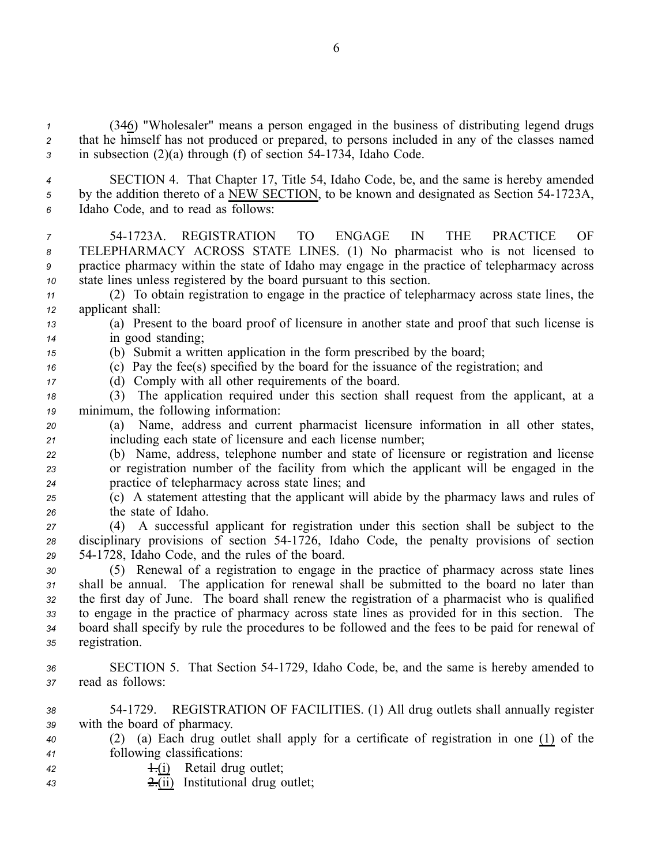*<sup>1</sup>* (346) "Wholesaler" means <sup>a</sup> person engaged in the business of distributing legend drugs *<sup>2</sup>* that he himself has not produced or prepared, to persons included in any of the classes named *3* in subsection (2)(a) through (f) of section 54-1734, Idaho Code.

*<sup>4</sup>* SECTION 4. That Chapter 17, Title 54, Idaho Code, be, and the same is hereby amended <sup>5</sup> by the addition thereto of a NEW SECTION, to be known and designated as Section 54-1723A, *<sup>6</sup>* Idaho Code, and to read as follows:

 541723A. REGISTRATION TO ENGAGE IN THE PRACTICE OF TELEPHARMACY ACROSS STATE LINES. (1) No pharmacist who is not licensed to practice pharmacy within the state of Idaho may engage in the practice of telepharmacy across state lines unless registered by the board pursuan<sup>t</sup> to this section.

*<sup>11</sup>* (2) To obtain registration to engage in the practice of telepharmacy across state lines, the *<sup>12</sup>* applicant shall:

*<sup>13</sup>* (a) Present to the board proof of licensure in another state and proof that such license is *<sup>14</sup>* in good standing;

*<sup>15</sup>* (b) Submit <sup>a</sup> written application in the form prescribed by the board; *<sup>16</sup>* (c) Pay the fee(s) specified by the board for the issuance of the registration; and

*<sup>17</sup>* (d) Comply with all other requirements of the board.

*<sup>18</sup>* (3) The application required under this section shall reques<sup>t</sup> from the applicant, at <sup>a</sup> *<sup>19</sup>* minimum, the following information:

*<sup>20</sup>* (a) Name, address and current pharmacist licensure information in all other states, *<sup>21</sup>* including each state of licensure and each license number;

*<sup>22</sup>* (b) Name, address, telephone number and state of licensure or registration and license *<sup>23</sup>* or registration number of the facility from which the applicant will be engaged in the *<sup>24</sup>* practice of telepharmacy across state lines; and

*<sup>25</sup>* (c) A statement attesting that the applicant will abide by the pharmacy laws and rules of *<sup>26</sup>* the state of Idaho.

*<sup>27</sup>* (4) A successful applicant for registration under this section shall be subject to the *<sup>28</sup>* disciplinary provisions of section 541726, Idaho Code, the penalty provisions of section *<sup>29</sup>* 541728, Idaho Code, and the rules of the board.

 (5) Renewal of <sup>a</sup> registration to engage in the practice of pharmacy across state lines shall be annual. The application for renewal shall be submitted to the board no later than the first day of June. The board shall renew the registration of <sup>a</sup> pharmacist who is qualified to engage in the practice of pharmacy across state lines as provided for in this section. The board shall specify by rule the procedures to be followed and the fees to be paid for renewal of registration.

*<sup>36</sup>* SECTION 5. That Section 541729, Idaho Code, be, and the same is hereby amended to *<sup>37</sup>* read as follows:

*<sup>38</sup>* 541729. REGISTRATION OF FACILITIES. (1) All drug outlets shall annually register *<sup>39</sup>* with the board of pharmacy.

- *<sup>40</sup>* (2) (a) Each drug outlet shall apply for <sup>a</sup> certificate of registration in one (1) of the *<sup>41</sup>* following classifications:
- 42 **1.(i)** Retail drug outlet;
- *<sup>43</sup>* 2.(ii) Institutional drug outlet;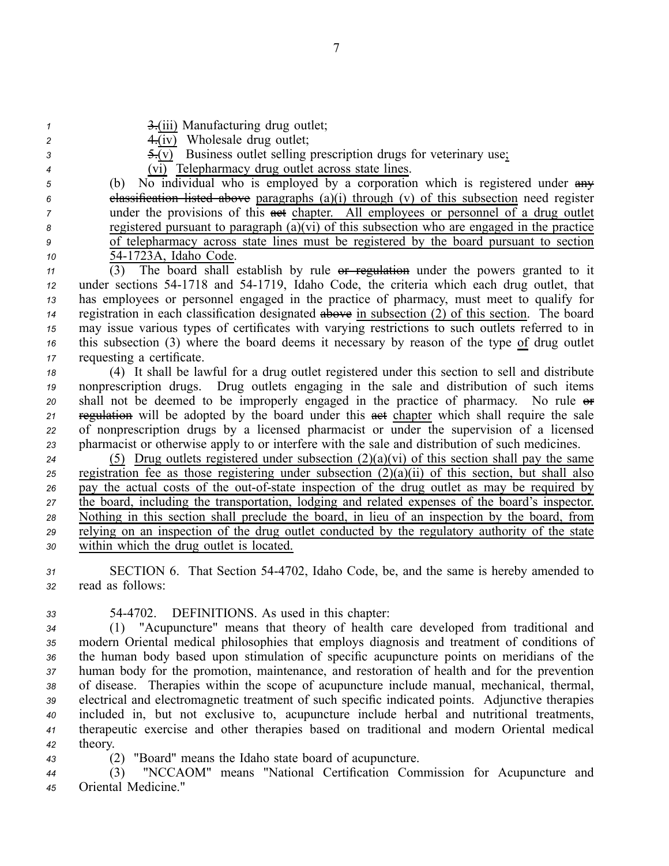| $\mathbf{1}$<br>$\overline{\mathbf{c}}$<br>3<br>4<br>5<br>6<br>7 | 3.(iii) Manufacturing drug outlet;<br>$\overline{4}$ . (iv) Wholesale drug outlet;<br>$\frac{1}{2}$ = (v) Business outlet selling prescription drugs for veterinary use.<br>(vi) Telepharmacy drug outlet across state lines.<br>No individual who is employed by a corporation which is registered under any<br>(b)<br>elassification listed above paragraphs $(a)(i)$ through $(v)$ of this subsection need register<br>under the provisions of this ast chapter. All employees or personnel of a drug outlet |
|------------------------------------------------------------------|-----------------------------------------------------------------------------------------------------------------------------------------------------------------------------------------------------------------------------------------------------------------------------------------------------------------------------------------------------------------------------------------------------------------------------------------------------------------------------------------------------------------|
| 8                                                                | registered pursuant to paragraph $(a)(vi)$ of this subsection who are engaged in the practice                                                                                                                                                                                                                                                                                                                                                                                                                   |
| 9                                                                | of telepharmacy across state lines must be registered by the board pursuant to section<br>54-1723A, Idaho Code.                                                                                                                                                                                                                                                                                                                                                                                                 |
| 10                                                               | (3) The board shall establish by rule or regulation under the powers granted to it                                                                                                                                                                                                                                                                                                                                                                                                                              |
| 11<br>12                                                         | under sections 54-1718 and 54-1719, Idaho Code, the criteria which each drug outlet, that                                                                                                                                                                                                                                                                                                                                                                                                                       |
| 13                                                               | has employees or personnel engaged in the practice of pharmacy, must meet to qualify for                                                                                                                                                                                                                                                                                                                                                                                                                        |
| 14                                                               | registration in each classification designated above in subsection (2) of this section. The board                                                                                                                                                                                                                                                                                                                                                                                                               |
| 15                                                               | may issue various types of certificates with varying restrictions to such outlets referred to in                                                                                                                                                                                                                                                                                                                                                                                                                |
| 16                                                               | this subsection (3) where the board deems it necessary by reason of the type of drug outlet                                                                                                                                                                                                                                                                                                                                                                                                                     |
| 17                                                               | requesting a certificate.                                                                                                                                                                                                                                                                                                                                                                                                                                                                                       |
| 18                                                               | (4) It shall be lawful for a drug outlet registered under this section to sell and distribute                                                                                                                                                                                                                                                                                                                                                                                                                   |
| 19                                                               | nonprescription drugs. Drug outlets engaging in the sale and distribution of such items                                                                                                                                                                                                                                                                                                                                                                                                                         |
| 20                                                               | shall not be deemed to be improperly engaged in the practice of pharmacy. No rule or                                                                                                                                                                                                                                                                                                                                                                                                                            |
| 21                                                               | regulation will be adopted by the board under this aet chapter which shall require the sale                                                                                                                                                                                                                                                                                                                                                                                                                     |
| 22                                                               | of nonprescription drugs by a licensed pharmacist or under the supervision of a licensed                                                                                                                                                                                                                                                                                                                                                                                                                        |
| 23                                                               | pharmacist or otherwise apply to or interfere with the sale and distribution of such medicines.                                                                                                                                                                                                                                                                                                                                                                                                                 |
| 24                                                               | (5) Drug outlets registered under subsection $(2)(a)(vi)$ of this section shall pay the same                                                                                                                                                                                                                                                                                                                                                                                                                    |
| 25                                                               | registration fee as those registering under subsection $(2)(a)(ii)$ of this section, but shall also                                                                                                                                                                                                                                                                                                                                                                                                             |
| 26                                                               | pay the actual costs of the out-of-state inspection of the drug outlet as may be required by<br>the board, including the transportation, lodging and related expenses of the board's inspector.                                                                                                                                                                                                                                                                                                                 |
| 27<br>28                                                         | Nothing in this section shall preclude the board, in lieu of an inspection by the board, from                                                                                                                                                                                                                                                                                                                                                                                                                   |
| 29                                                               | relying on an inspection of the drug outlet conducted by the regulatory authority of the state                                                                                                                                                                                                                                                                                                                                                                                                                  |
| 30                                                               | within which the drug outlet is located.                                                                                                                                                                                                                                                                                                                                                                                                                                                                        |
|                                                                  |                                                                                                                                                                                                                                                                                                                                                                                                                                                                                                                 |
| 31<br>32                                                         | SECTION 6. That Section 54-4702, Idaho Code, be, and the same is hereby amended to<br>read as follows:                                                                                                                                                                                                                                                                                                                                                                                                          |
|                                                                  |                                                                                                                                                                                                                                                                                                                                                                                                                                                                                                                 |
| 33                                                               | 54-4702. DEFINITIONS. As used in this chapter:                                                                                                                                                                                                                                                                                                                                                                                                                                                                  |
| 34                                                               | (1) "Acupuncture" means that theory of health care developed from traditional and                                                                                                                                                                                                                                                                                                                                                                                                                               |
| 35                                                               | modern Oriental medical philosophies that employs diagnosis and treatment of conditions of                                                                                                                                                                                                                                                                                                                                                                                                                      |
| 36                                                               | the human body based upon stimulation of specific acupuncture points on meridians of the                                                                                                                                                                                                                                                                                                                                                                                                                        |

 human body for the promotion, maintenance, and restoration of health and for the prevention of disease. Therapies within the scope of acupuncture include manual, mechanical, thermal, electrical and electromagnetic treatment of such specific indicated points. Adjunctive therapies included in, but not exclusive to, acupuncture include herbal and nutritional treatments, therapeutic exercise and other therapies based on traditional and modern Oriental medical *<sup>42</sup>* theory.

*<sup>43</sup>* (2) "Board" means the Idaho state board of acupuncture.

*<sup>44</sup>* (3) "NCCAOM" means "National Certification Commission for Acupuncture and *<sup>45</sup>* Oriental Medicine."